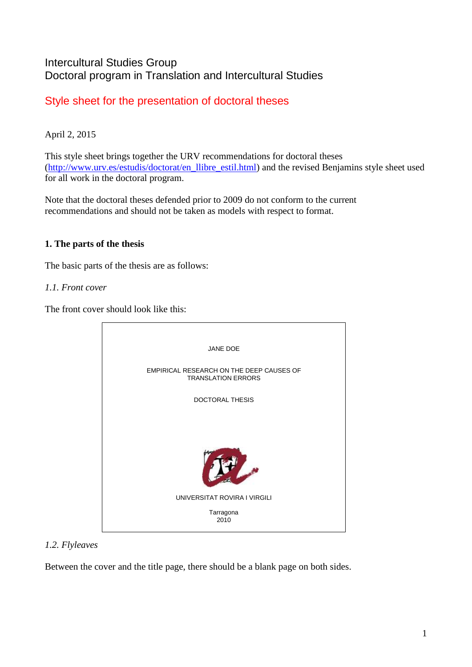# Intercultural Studies Group Doctoral program in Translation and Intercultural Studies

# Style sheet for the presentation of doctoral theses

# April 2, 2015

This style sheet brings together the URV recommendations for doctoral theses [\(http://www.urv.es/estudis/doctorat/en\\_llibre\\_estil.html\)](http://www.urv.es/estudis/doctorat/en_llibre_estil.html) and the revised Benjamins style sheet used for all work in the doctoral program.

Note that the doctoral theses defended prior to 2009 do not conform to the current recommendations and should not be taken as models with respect to format.

# **1. The parts of the thesis**

The basic parts of the thesis are as follows:

# *1.1. Front cover*

The front cover should look like this:



# *1.2. Flyleaves*

Between the cover and the title page, there should be a blank page on both sides.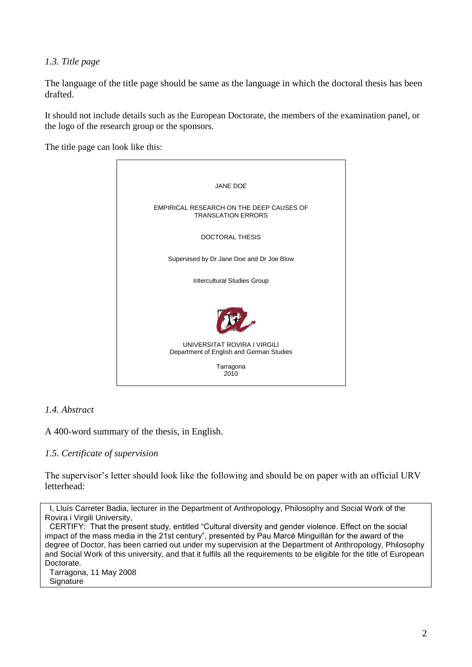## *1.3. Title page*

The language of the title page should be same as the language in which the doctoral thesis has been drafted.

It should not include details such as the European Doctorate, the members of the examination panel, or the logo of the research group or the sponsors.

The title page can look like this:



### *1.4. Abstract*

A 400-word summary of the thesis, in English.

## *1.5. Certificate of supervision*

The supervisor's letter should look like the following and should be on paper with an official URV letterhead:

I, Lluís Carreter Badia, lecturer in the Department of Anthropology, Philosophy and Social Work of the Rovira i Virgili University,

CERTIFY: That the present study, entitled "Cultural diversity and gender violence. Effect on the social impact of the mass media in the 21st century", presented by Pau Marcé Minguillán for the award of the degree of Doctor, has been carried out under my supervision at the Department of Anthropology, Philosophy and Social Work of this university, and that it fulfils all the requirements to be eligible for the title of European Doctorate.

Tarragona, 11 May 2008 **Signature**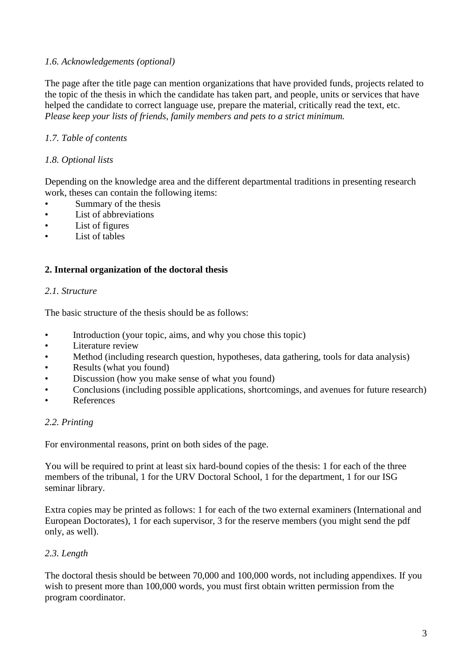# *1.6. Acknowledgements (optional)*

The page after the title page can mention organizations that have provided funds, projects related to the topic of the thesis in which the candidate has taken part, and people, units or services that have helped the candidate to correct language use, prepare the material, critically read the text, etc. *Please keep your lists of friends, family members and pets to a strict minimum.*

# *1.7. Table of contents*

## *1.8. Optional lists*

Depending on the knowledge area and the different departmental traditions in presenting research work, theses can contain the following items:

- Summary of the thesis
- List of abbreviations
- List of figures
- List of tables

## **2. Internal organization of the doctoral thesis**

### *2.1. Structure*

The basic structure of the thesis should be as follows:

- Introduction (your topic, aims, and why you chose this topic)
- Literature review
- Method (including research question, hypotheses, data gathering, tools for data analysis)
- Results (what you found)
- Discussion (how you make sense of what you found)
- Conclusions (including possible applications, shortcomings, and avenues for future research)
- **References**

## *2.2. Printing*

For environmental reasons, print on both sides of the page.

You will be required to print at least six hard-bound copies of the thesis: 1 for each of the three members of the tribunal, 1 for the URV Doctoral School, 1 for the department, 1 for our ISG seminar library.

Extra copies may be printed as follows: 1 for each of the two external examiners (International and European Doctorates), 1 for each supervisor, 3 for the reserve members (you might send the pdf only, as well).

## *2.3. Length*

The doctoral thesis should be between 70,000 and 100,000 words, not including appendixes. If you wish to present more than 100,000 words, you must first obtain written permission from the program coordinator.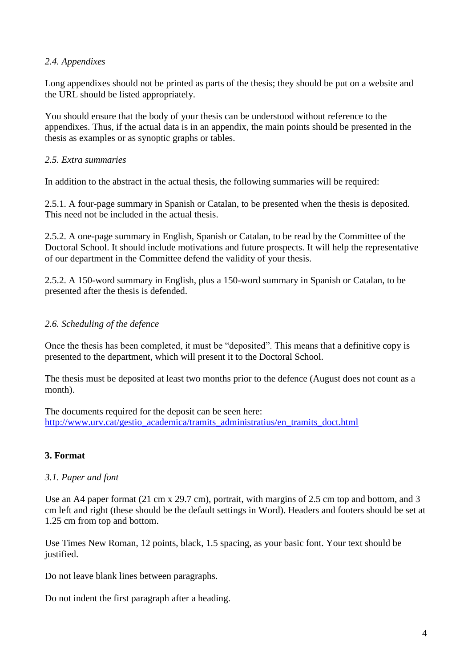# *2.4. Appendixes*

Long appendixes should not be printed as parts of the thesis; they should be put on a website and the URL should be listed appropriately.

You should ensure that the body of your thesis can be understood without reference to the appendixes. Thus, if the actual data is in an appendix, the main points should be presented in the thesis as examples or as synoptic graphs or tables.

# *2.5. Extra summaries*

In addition to the abstract in the actual thesis, the following summaries will be required:

2.5.1. A four-page summary in Spanish or Catalan, to be presented when the thesis is deposited. This need not be included in the actual thesis.

2.5.2. A one-page summary in English, Spanish or Catalan, to be read by the Committee of the Doctoral School. It should include motivations and future prospects. It will help the representative of our department in the Committee defend the validity of your thesis.

2.5.2. A 150-word summary in English, plus a 150-word summary in Spanish or Catalan, to be presented after the thesis is defended.

# *2.6. Scheduling of the defence*

Once the thesis has been completed, it must be "deposited". This means that a definitive copy is presented to the department, which will present it to the Doctoral School.

The thesis must be deposited at least two months prior to the defence (August does not count as a month).

The documents required for the deposit can be seen here: [http://www.urv.cat/gestio\\_academica/tramits\\_administratius/en\\_tramits\\_doct.html](http://www.urv.cat/gestio_academica/tramits_administratius/en_tramits_doct.html)

## **3. Format**

## *3.1. Paper and font*

Use an A4 paper format (21 cm x 29.7 cm), portrait, with margins of 2.5 cm top and bottom, and 3 cm left and right (these should be the default settings in Word). Headers and footers should be set at 1.25 cm from top and bottom.

Use Times New Roman, 12 points, black, 1.5 spacing, as your basic font. Your text should be justified.

Do not leave blank lines between paragraphs.

Do not indent the first paragraph after a heading.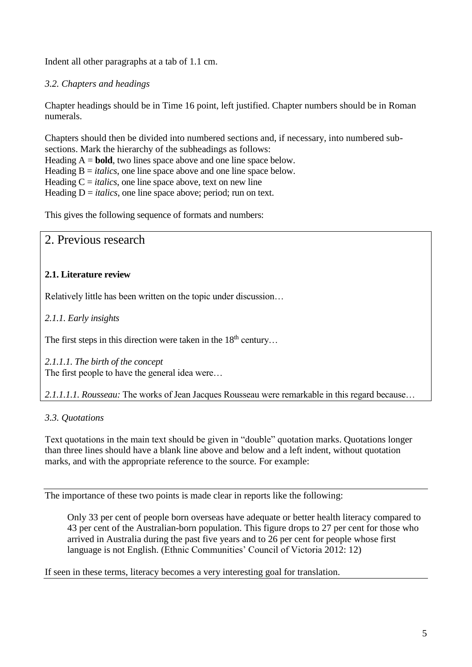Indent all other paragraphs at a tab of 1.1 cm.

# *3.2. Chapters and headings*

Chapter headings should be in Time 16 point, left justified. Chapter numbers should be in Roman numerals.

Chapters should then be divided into numbered sections and, if necessary, into numbered subsections. Mark the hierarchy of the subheadings as follows: Heading  $A = **bold**$ , two lines space above and one line space below. Heading  $B = *italics*$ , one line space above and one line space below. Heading  $C = *italics*$ , one line space above, text on new line Heading  $D = *italics*$ , one line space above; period; run on text.

This gives the following sequence of formats and numbers:

# 2. Previous research

# **2.1. Literature review**

Relatively little has been written on the topic under discussion…

*2.1.1. Early insights*

The first steps in this direction were taken in the  $18<sup>th</sup>$  century...

*2.1.1.1. The birth of the concept* The first people to have the general idea were…

*2.1.1.1.1. Rousseau:* The works of Jean Jacques Rousseau were remarkable in this regard because…

# *3.3. Quotations*

Text quotations in the main text should be given in "double" quotation marks. Quotations longer than three lines should have a blank line above and below and a left indent, without quotation marks, and with the appropriate reference to the source. For example:

The importance of these two points is made clear in reports like the following:

Only 33 per cent of people born overseas have adequate or better health literacy compared to 43 per cent of the Australian-born population. This figure drops to 27 per cent for those who arrived in Australia during the past five years and to 26 per cent for people whose first language is not English. (Ethnic Communities' Council of Victoria 2012: 12)

If seen in these terms, literacy becomes a very interesting goal for translation.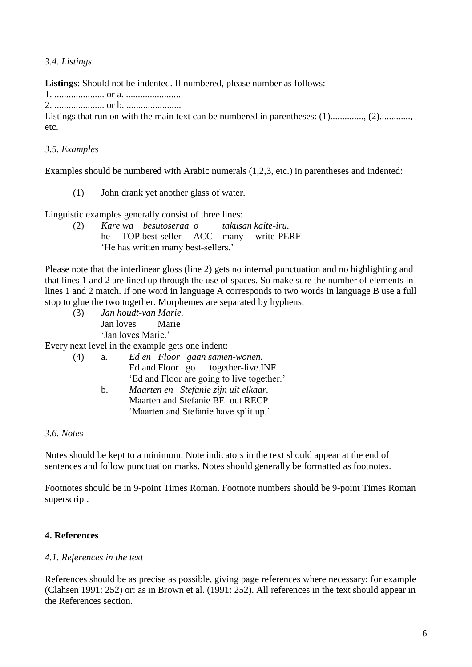*3.4. Listings*

**Listings**: Should not be indented. If numbered, please number as follows:

1. ..................... or a. .......................

2. ..................... or b. .......................

Listings that run on with the main text can be numbered in parentheses: (1)................................... etc.

# *3.5. Examples*

Examples should be numbered with Arabic numerals (1,2,3, etc.) in parentheses and indented:

(1) John drank yet another glass of water.

Linguistic examples generally consist of three lines:

(2) *Kare wa besutoseraa o takusan kaite-iru.*  he TOP best-seller ACC many write-PERF 'He has written many best-sellers.'

Please note that the interlinear gloss (line 2) gets no internal punctuation and no highlighting and that lines 1 and 2 are lined up through the use of spaces. So make sure the number of elements in lines 1 and 2 match. If one word in language A corresponds to two words in language B use a full stop to glue the two together. Morphemes are separated by hyphens:

(3) *Jan houdt-van Marie.* Jan loves Marie 'Jan loves Marie.'

Every next level in the example gets one indent:

| (4) | a.          | Ed en Floor gaan samen-wonen.              |  |  |  |
|-----|-------------|--------------------------------------------|--|--|--|
|     |             | Ed and Floor go together-live. INF         |  |  |  |
|     |             | 'Ed and Floor are going to live together.' |  |  |  |
|     | $h_{\cdot}$ | Maarten en Stefanie zijn uit elkaar.       |  |  |  |
|     |             | Maarten and Stefanie BE out RECP           |  |  |  |
|     |             | 'Maarten and Stefanie have split up.'      |  |  |  |
|     |             |                                            |  |  |  |

## *3.6. Notes*

Notes should be kept to a minimum. Note indicators in the text should appear at the end of sentences and follow punctuation marks. Notes should generally be formatted as footnotes.

Footnotes should be in 9-point Times Roman. Footnote numbers should be 9-point Times Roman superscript.

# **4. References**

## *4.1. References in the text*

References should be as precise as possible, giving page references where necessary; for example (Clahsen 1991: 252) or: as in Brown et al. (1991: 252). All references in the text should appear in the References section.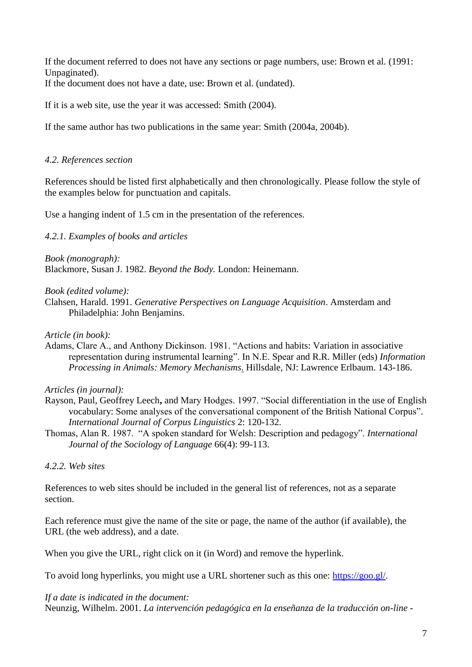If the document referred to does not have any sections or page numbers, use: Brown et al. (1991: Unpaginated).

If the document does not have a date, use: Brown et al. (undated).

If it is a web site, use the year it was accessed: Smith (2004).

If the same author has two publications in the same year: Smith (2004a, 2004b).

### *4.2. References section*

References should be listed first alphabetically and then chronologically. Please follow the style of the examples below for punctuation and capitals.

Use a hanging indent of 1.5 cm in the presentation of the references.

### *4.2.1. Examples of books and articles*

*Book (monograph):* Blackmore, Susan J. 1982. *Beyond the Body.* London: Heinemann.

### *Book (edited volume):*

Clahsen, Harald. 1991. *Generative Perspectives on Language Acquisition*. Amsterdam and Philadelphia: John Benjamins.

### *Article (in book):*

Adams, Clare A., and Anthony Dickinson. 1981. "Actions and habits: Variation in associative representation during instrumental learning". In N.E. Spear and R.R. Miller (eds) *Information Processing in Animals: Memory Mechanisms*. Hillsdale, NJ: Lawrence Erlbaum. 143-186.

## *Articles (in journal):*

- Rayson, Paul, Geoffrey Leech**,** and Mary Hodges. 1997. "Social differentiation in the use of English vocabulary: Some analyses of the conversational component of the British National Corpus". *International Journal of Corpus Linguistics* 2: 120-132.
- Thomas, Alan R. 1987. "A spoken standard for Welsh: Description and pedagogy". *International Journal of the Sociology of Language* 66(4): 99-113.

## *4.2.2. Web sites*

References to web sites should be included in the general list of references, not as a separate section.

Each reference must give the name of the site or page, the name of the author (if available), the URL (the web address), and a date.

When you give the URL, right click on it (in Word) and remove the hyperlink.

To avoid long hyperlinks, you might use a URL shortener such as this one: [https://goo.gl/.](https://goo.gl/)

### *If a date is indicated in the document:*

Neunzig, Wilhelm. 2001. *La intervención pedagógica en la enseñanza de la traducción on-line -*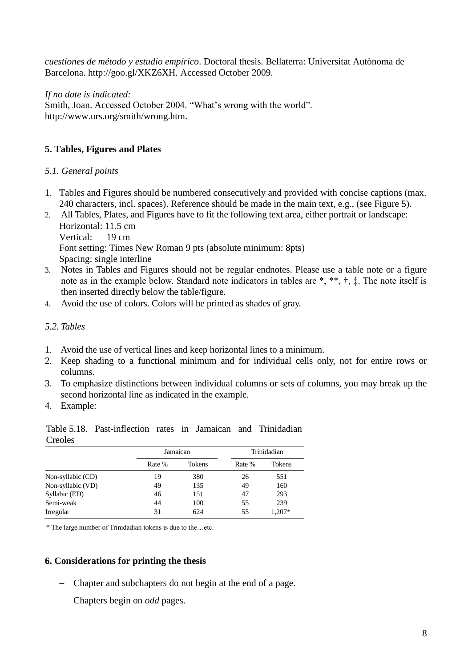*cuestiones de método y estudio empírico*. Doctoral thesis. Bellaterra: Universitat Autònoma de Barcelona. http://goo.gl/XKZ6XH. Accessed October 2009.

*If no date is indicated:*  Smith, Joan. Accessed October 2004. "What's wrong with the world". http://www.urs.org/smith/wrong.htm.

# **5. Tables, Figures and Plates**

## *5.1. General points*

- 1. Tables and Figures should be numbered consecutively and provided with concise captions (max. 240 characters, incl. spaces). Reference should be made in the main text, e.g., (see Figure 5).
- 2. All Tables, Plates, and Figures have to fit the following text area, either portrait or landscape: Horizontal: 11.5 cm Vertical: 19 cm Font setting: Times New Roman 9 pts (absolute minimum: 8pts) Spacing: single interline
- 3. Notes in Tables and Figures should not be regular endnotes. Please use a table note or a figure note as in the example below. Standard note indicators in tables are \*, \*\*, †, ‡. The note itself is then inserted directly below the table/figure.
- 4. Avoid the use of colors. Colors will be printed as shades of gray.

## *5.2. Tables*

- 1. Avoid the use of vertical lines and keep horizontal lines to a minimum.
- 2. Keep shading to a functional minimum and for individual cells only, not for entire rows or columns.
- 3. To emphasize distinctions between individual columns or sets of columns, you may break up the second horizontal line as indicated in the example.
- 4. Example:

Table 5.18. Past-inflection rates in Jamaican and Trinidadian Creoles

|                   | Jamaican |               | Trinidadian |               |
|-------------------|----------|---------------|-------------|---------------|
|                   | Rate %   | <b>Tokens</b> | Rate %      | <b>Tokens</b> |
| Non-syllabic (CD) | 19       | 380           | 26          | 551           |
| Non-syllabic (VD) | 49       | 135           | 49          | 160           |
| Syllabic (ED)     | 46       | 151           | 47          | 293           |
| Semi-weak         | 44       | 100           | 55          | 239           |
| Irregular         | 31       | 624           | 55          | 1,207*        |

\* The large number of Trinidadian tokens is due to the…etc.

## **6. Considerations for printing the thesis**

- Chapter and subchapters do not begin at the end of a page.
- Chapters begin on *odd* pages.